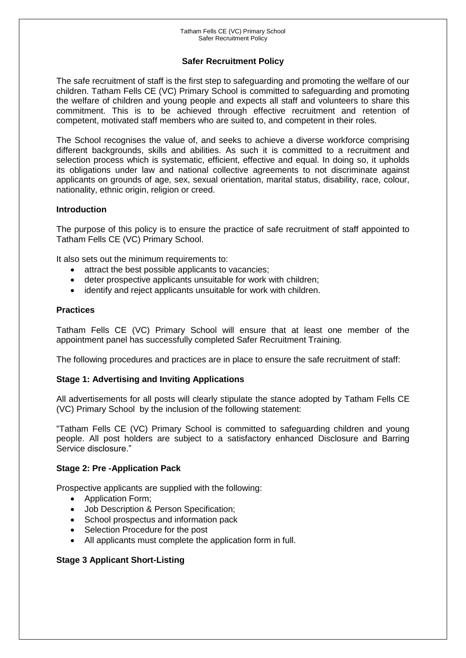# **Safer Recruitment Policy**

The safe recruitment of staff is the first step to safeguarding and promoting the welfare of our children. Tatham Fells CE (VC) Primary School is committed to safeguarding and promoting the welfare of children and young people and expects all staff and volunteers to share this commitment. This is to be achieved through effective recruitment and retention of competent, motivated staff members who are suited to, and competent in their roles.

The School recognises the value of, and seeks to achieve a diverse workforce comprising different backgrounds, skills and abilities. As such it is committed to a recruitment and selection process which is systematic, efficient, effective and equal. In doing so, it upholds its obligations under law and national collective agreements to not discriminate against applicants on grounds of age, sex, sexual orientation, marital status, disability, race, colour, nationality, ethnic origin, religion or creed.

### **Introduction**

The purpose of this policy is to ensure the practice of safe recruitment of staff appointed to Tatham Fells CE (VC) Primary School.

It also sets out the minimum requirements to:

- attract the best possible applicants to vacancies;
- deter prospective applicants unsuitable for work with children;
- identify and reject applicants unsuitable for work with children.

### **Practices**

Tatham Fells CE (VC) Primary School will ensure that at least one member of the appointment panel has successfully completed Safer Recruitment Training.

The following procedures and practices are in place to ensure the safe recruitment of staff:

# **Stage 1: Advertising and Inviting Applications**

All advertisements for all posts will clearly stipulate the stance adopted by Tatham Fells CE (VC) Primary School by the inclusion of the following statement:

"Tatham Fells CE (VC) Primary School is committed to safeguarding children and young people. All post holders are subject to a satisfactory enhanced Disclosure and Barring Service disclosure."

# **Stage 2: Pre -Application Pack**

Prospective applicants are supplied with the following:

- Application Form;
- Job Description & Person Specification;
- School prospectus and information pack
- Selection Procedure for the post
- All applicants must complete the application form in full.

# **Stage 3 Applicant Short-Listing**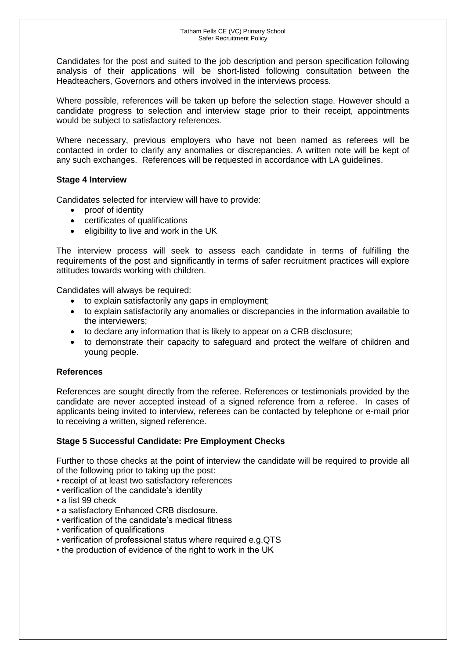Candidates for the post and suited to the job description and person specification following analysis of their applications will be short-listed following consultation between the Headteachers, Governors and others involved in the interviews process.

Where possible, references will be taken up before the selection stage. However should a candidate progress to selection and interview stage prior to their receipt, appointments would be subject to satisfactory references.

Where necessary, previous employers who have not been named as referees will be contacted in order to clarify any anomalies or discrepancies. A written note will be kept of any such exchanges. References will be requested in accordance with LA guidelines.

# **Stage 4 Interview**

Candidates selected for interview will have to provide:

- proof of identity
- certificates of qualifications
- eligibility to live and work in the UK

The interview process will seek to assess each candidate in terms of fulfilling the requirements of the post and significantly in terms of safer recruitment practices will explore attitudes towards working with children.

Candidates will always be required:

- to explain satisfactorily any gaps in employment;
- to explain satisfactorily any anomalies or discrepancies in the information available to the interviewers;
- to declare any information that is likely to appear on a CRB disclosure;
- to demonstrate their capacity to safeguard and protect the welfare of children and young people.

#### **References**

References are sought directly from the referee. References or testimonials provided by the candidate are never accepted instead of a signed reference from a referee. In cases of applicants being invited to interview, referees can be contacted by telephone or e-mail prior to receiving a written, signed reference.

# **Stage 5 Successful Candidate: Pre Employment Checks**

Further to those checks at the point of interview the candidate will be required to provide all of the following prior to taking up the post:

- receipt of at least two satisfactory references
- verification of the candidate's identity
- a list 99 check
- a satisfactory Enhanced CRB disclosure.
- verification of the candidate's medical fitness
- verification of qualifications
- verification of professional status where required e.g.QTS
- the production of evidence of the right to work in the UK